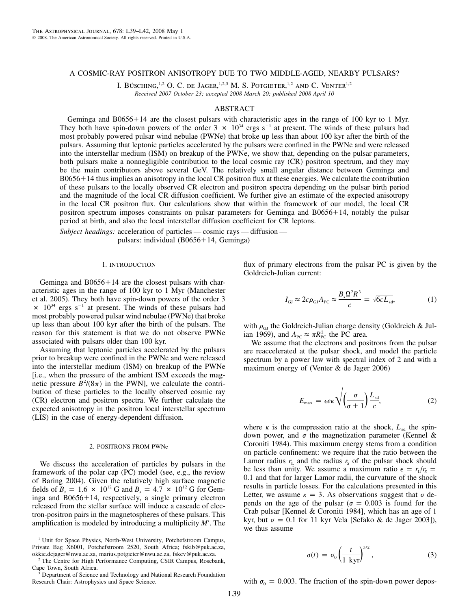## A COSMIC-RAY POSITRON ANISOTROPY DUE TO TWO MIDDLE-AGED, NEARBY PULSARS?

I. BÜSCHING,<sup>1,2</sup> O. C. de Jager,<sup>1,2,3</sup> M. S. Potgieter,<sup>1,2</sup> and C. Venter<sup>1,2</sup> *Received 2007 October 23; accepted 2008 March 20; published 2008 April 10*

# ABSTRACT

Geminga and  $B0656+14$  are the closest pulsars with characteristic ages in the range of 100 kyr to 1 Myr. They both have spin-down powers of the order  $3 \times 10^{34}$  ergs s<sup>-1</sup> at present. The winds of these pulsars had most probably powered pulsar wind nebulae (PWNe) that broke up less than about 100 kyr after the birth of the pulsars. Assuming that leptonic particles accelerated by the pulsars were confined in the PWNe and were released into the interstellar medium (ISM) on breakup of the PWNe, we show that, depending on the pulsar parameters, both pulsars make a nonnegligible contribution to the local cosmic ray (CR) positron spectrum, and they may be the main contributors above several GeV. The relatively small angular distance between Geminga and  $B0656+14$  thus implies an anisotropy in the local CR positron flux at these energies. We calculate the contribution of these pulsars to the locally observed CR electron and positron spectra depending on the pulsar birth period and the magnitude of the local CR diffusion coefficient. We further give an estimate of the expected anisotropy in the local CR positron flux. Our calculations show that within the framework of our model, the local CR positron spectrum imposes constraints on pulsar parameters for Geminga and B0656+14, notably the pulsar period at birth, and also the local interstellar diffusion coefficient for CR leptons.

*Subject headings:* acceleration of particles — cosmic rays — diffusion pulsars: individual  $(B0656+14,$  Geminga)

### 1. INTRODUCTION

Geminga and  $B0656+14$  are the closest pulsars with characteristic ages in the range of 100 kyr to 1 Myr (Manchester et al. 2005). They both have spin-down powers of the order 3  $\times$  10<sup>34</sup> ergs s<sup>-1</sup> at present. The winds of these pulsars had most probably powered pulsar wind nebulae (PWNe) that broke up less than about 100 kyr after the birth of the pulsars. The reason for this statement is that we do not observe PWNe associated with pulsars older than 100 kyr.

Assuming that leptonic particles accelerated by the pulsars prior to breakup were confined in the PWNe and were released into the interstellar medium (ISM) on breakup of the PWNe [i.e., when the pressure of the ambient ISM exceeds the magnetic pressure  $B^2/(8\pi)$  in the PWN], we calculate the contribution of these particles to the locally observed cosmic ray (CR) electron and positron spectra. We further calculate the expected anisotropy in the positron local interstellar spectrum (LIS) in the case of energy-dependent diffusion.

#### 2. POSITRONS FROM PWNe

We discuss the acceleration of particles by pulsars in the framework of the polar cap (PC) model (see, e.g., the review of Baring 2004). Given the relatively high surface magnetic fields of  $B_0 = 1.6 \times 10^{12}$  G and  $B_0 = 4.7 \times 10^{12}$  G for Geminga and  $B0656+14$ , respectively, a single primary electron released from the stellar surface will induce a cascade of electron-positron pairs in the magnetospheres of these pulsars. This amplification is modeled by introducing a multiplicity  $M'$ . The

<sup>1</sup> Unit for Space Physics, North-West University, Potchefstroom Campus, Private Bag X6001, Potchefstroom 2520, South Africa; fskib@puk.ac.za, okkie.dejager@nwu.ac.za, marius.potgieter@nwu.ac.za, fskcv@puk.ac.za.

<sup>2</sup> The Centre for High Performance Computing, CSIR Campus, Rosebank, Cape Town, South Africa.

Department of Science and Technology and National Research Foundation Research Chair: Astrophysics and Space Science.

flux of primary electrons from the pulsar PC is given by the Goldreich-Julian current:

$$
I_{\rm GJ} \approx 2c\rho_{\rm GJ}A_{\rm PC} \approx \frac{B_s\Omega^2R^3}{c} = \sqrt{6cL_{\rm sd}},\tag{1}
$$

with  $\rho_{\text{GJ}}$  the Goldreich-Julian charge density (Goldreich & Julian 1969), and  $A_{\text{pc}} \approx \pi R_{\text{PC}}^2$  the PC area.

We assume that the electrons and positrons from the pulsar are reaccelerated at the pulsar shock, and model the particle spectrum by a power law with spectral index of 2 and with a maximum energy of (Venter & de Jager 2006)

$$
E_{\max} = \epsilon e \kappa \sqrt{\left(\frac{\sigma}{\sigma + 1}\right) \frac{L_{\rm sd}}{c}},\tag{2}
$$

where  $\kappa$  is the compression ratio at the shock,  $L_{sd}$  the spindown power, and  $\sigma$  the magnetization parameter (Kennel & Coroniti 1984). This maximum energy stems from a condition on particle confinement: we require that the ratio between the Lamor radius  $r_L$  and the radius  $r_S$  of the pulsar shock should be less than unity. We assume a maximum ratio  $\epsilon = r_L/r_s$  = 0.1 and that for larger Lamor radii, the curvature of the shock results in particle losses. For the calculations presented in this Letter, we assume  $\kappa = 3$ . As observations suggest that  $\sigma$  depends on the age of the pulsar ( $\sigma = 0.003$  is found for the Crab pulsar [Kennel & Coroniti 1984], which has an age of 1 kyr, but  $\sigma = 0.1$  for 11 kyr Vela [Sefako & de Jager 2003]), we thus assume

$$
\sigma(t) = \sigma_0 \left(\frac{t}{1 \text{ kyr}}\right)^{3/2},\tag{3}
$$

with  $\sigma_0 = 0.003$ . The fraction of the spin-down power depos-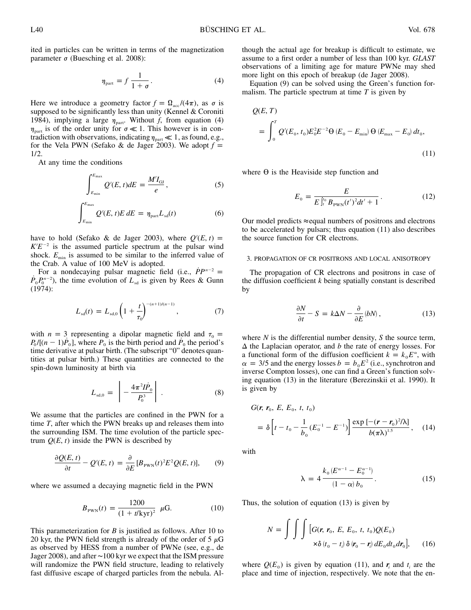ited in particles can be written in terms of the magnetization parameter  $\sigma$  (Buesching et al. 2008):

$$
\eta_{\text{part}} = f \, \frac{1}{1 + \sigma} \,. \tag{4}
$$

Here we introduce a geometry factor  $f = \Omega_{\text{acc}}/(4\pi)$ , as  $\sigma$  is supposed to be significantly less than unity (Kennel & Coroniti 1984), implying a large  $\eta_{part}$ . Without f, from equation (4)  $\eta_{\text{part}}$  is of the order unity for  $\sigma \ll 1$ . This however is in contradiction with observations, indicating  $\eta_{part} \ll 1$ , as found, e.g., for the Vela PWN (Sefako & de Jager 2003). We adopt  $f =$ 1/2.

At any time the conditions

$$
\int_{E_{\min}}^{E_{\max}} Q'(E, t) dE = \frac{M'I_{\rm GJ}}{e}, \qquad (5)
$$

$$
\int_{E_{\min}}^{E_{\max}} Q'(E, t) E dE = \eta_{\text{part}} L_{sd}(t)
$$
 (6)

have to hold (Sefako & de Jager 2003), where  $Q'(E, t)$  =  $K/E^{-2}$  is the assumed particle spectrum at the pulsar wind shock.  $E_{\text{min}}$  is assumed to be similar to the inferred value of the Crab. A value of 100 MeV is adopted.

For a nondecaying pulsar magnetic field (i.e.,  $\dot{P}P^{n-2} =$  $\dot{P}_0 P_0^{n-2}$ ), the time evolution of  $L_{sd}$  is given by Rees & Gunn (1974):

$$
L_{sd}(t) = L_{sd,0} \left( 1 + \frac{t}{\tau_0} \right)^{-(n+1)/(n-1)}, \tag{7}
$$

with  $n = 3$  representing a dipolar magnetic field and  $\tau_0 =$  $P_0/[(n-1)P_0]$ , where  $P_0$  is the birth period and  $P_0$  the period's time derivative at pulsar birth. (The subscript "0" denotes quantities at pulsar birth.) These quantities are connected to the spin-down luminosity at birth via

$$
L_{\rm sd,0} = \left| -\frac{4\pi^2 I \dot{P}_0}{P_0^3} \right| \,. \tag{8}
$$

We assume that the particles are confined in the PWN for a time *T*, after which the PWN breaks up and releases them into the surrounding ISM. The time evolution of the particle spectrum  $Q(E, t)$  inside the PWN is described by

$$
\frac{\partial Q(E,t)}{\partial t} - Q'(E,t) = \frac{\partial}{\partial E} [B_{\text{PWN}}(t)^2 E^2 Q(E,t)],\tag{9}
$$

where we assumed a decaying magnetic field in the PWN

$$
B_{\text{PWN}}(t) = \frac{1200}{(1 + t/\text{kyr})^2} \ \mu\text{G.}
$$
 (10)

This parameterization for *B* is justified as follows. After 10 to 20 kyr, the PWN field strength is already of the order of 5  $\mu$ G as observed by HESS from a number of PWNe (see, e.g., de Jager 2008), and after ∼100 kyr we expect that the ISM pressure will randomize the PWN field structure, leading to relatively fast diffusive escape of charged particles from the nebula. Although the actual age for breakup is difficult to estimate, we assume to a first order a number of less than 100 kyr. *GLAST* observations of a limiting age for mature PWNe may shed more light on this epoch of breakup (de Jager 2008).

Equation (9) can be solved using the Green's function formalism. The particle spectrum at time *T* is given by

$$
Q(E, T)
$$
  
=  $\int_0^T Q'(E_0, t_0) E_0^2 E^{-2} \Theta(E_0 - E_{\text{min}}) \Theta(E_{\text{max}} - E_0) dt_0,$  (11)

where  $\Theta$  is the Heaviside step function and

$$
E_0 = \frac{E}{E \int_l^{\tau_0} B_{\text{PWN}}(t')^2 dt' + 1}.
$$
 (12)

Our model predicts  $\approx$  equal numbers of positrons and electrons to be accelerated by pulsars; thus equation (11) also describes the source function for CR electrons.

### 3. PROPAGATION OF CR POSITRONS AND LOCAL ANISOTROPY

The propagation of CR electrons and positrons in case of the diffusion coefficient *k* being spatially constant is described by

$$
\frac{\partial N}{\partial t} - S = k\Delta N - \frac{\partial}{\partial E} (bN) , \qquad (13)
$$

where *N* is the differential number density, *S* the source term,  $\Delta$  the Laplacian operator, and *b* the rate of energy losses. For a functional form of the diffusion coefficient  $k = k_0 E^\alpha$ , with  $\alpha = 3/5$  and the energy losses  $b = b_0 E^2$  (i.e., synchrotron and inverse Compton losses), one can find a Green's function solving equation (13) in the literature (Berezinskii et al. 1990). It is given by

$$
G(\mathbf{r}, \mathbf{r}_0, E, E_0, t, t_0)
$$
  
=  $\delta \left[ t - t_0 - \frac{1}{b_0} (E_0^{-1} - E^{-1}) \right] \frac{\exp [-(\mathbf{r} - \mathbf{r}_0)^2/\lambda]}{b(\pi \lambda)^{1.5}},$  (14)

with

$$
\lambda = 4 \frac{k_0 (E^{\alpha - 1} - E_0^{\alpha - 1})}{(1 - \alpha) b_0}.
$$
 (15)

Thus, the solution of equation (13) is given by

$$
N = \int \int \int \left[ G(\mathbf{r}, \mathbf{r}_0, E, E_0, t, t_0) Q(E_0) \times \delta(t_0 - t_i) \delta(\mathbf{r}_0 - \mathbf{r}_i) dE_0 dt_0 dr_0 \right], \quad (16)
$$

where  $Q(E_0)$  is given by equation (11), and r and t are the place and time of injection, respectively. We note that the en-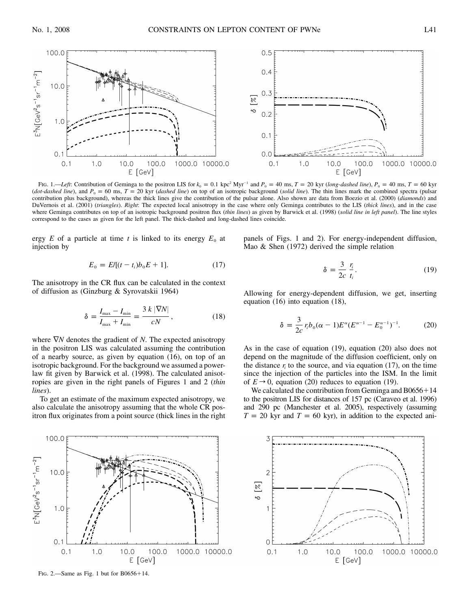

Fig. 1.—*Left*: Contribution of Geminga to the positron LIS for  $k_0 = 0.1$  kpc<sup>2</sup> Myr<sup>-1</sup> and  $P_0 = 40$  ms,  $T = 20$  kyr (*long-dashed line*),  $P_0 = 40$  ms,  $T = 60$  kyr (*dot-dashed line*), and  $P_0 = 60$  ms,  $T = 20$  kyr (*dashed line*) on top of an isotropic background (*solid line*). The thin lines mark the combined spectra (pulsar contribution plus background), whereas the thick lines give the contribution of the pulsar alone. Also shown are data from Boezio et al. (2000) (*diamonds*) and DuVernois et al. (2001) (*triangles*). *Right*: The expected local anisotropy in the case where only Geminga contributes to the LIS (*thick lines*), and in the case where Geminga contributes on top of an isotropic background positron flux (*thin lines*) as given by Barwick et al. (1998) (*solid line in left panel*). The line styles correspond to the cases as given for the left panel. The thick-dashed and long-dashed lines coincide.

ergy  $E$  of a particle at time  $t$  is linked to its energy  $E_0$  at injection by

$$
E_0 = E/[(t - t_i)b_0E + 1].
$$
 (17)

The anisotropy in the CR flux can be calculated in the context of diffusion as (Ginzburg & Syrovatskii 1964)

$$
\delta = \frac{I_{\text{max}} - I_{\text{min}}}{I_{\text{max}} + I_{\text{min}}} = \frac{3 k |\nabla N|}{c N},
$$
\n(18)

where  $∇N$  denotes the gradient of *N*. The expected anisotropy in the positron LIS was calculated assuming the contribution of a nearby source, as given by equation (16), on top of an isotropic background. For the background we assumed a powerlaw fit given by Barwick et al. (1998). The calculated anisotropies are given in the right panels of Figures 1 and 2 (*thin lines*).

To get an estimate of the maximum expected anisotropy, we also calculate the anisotropy assuming that the whole CR positron flux originates from a point source (thick lines in the right



FIG. 2.—Same as Fig. 1 but for  $B0656+14$ .

panels of Figs. 1 and 2). For energy-independent diffusion, Mao & Shen (1972) derived the simple relation

$$
\delta = \frac{3}{2c} \frac{r_i}{t_i}.
$$
\n(19)

Allowing for energy-dependent diffusion, we get, inserting equation (16) into equation (18),

$$
\delta = \frac{3}{2c} r_i b_0 (\alpha - 1) E^{\alpha} (E^{\alpha - 1} - E_0^{\alpha - 1})^{-1}.
$$
 (20)

As in the case of equation (19), equation (20) also does not depend on the magnitude of the diffusion coefficient, only on the distance  $r_i$  to the source, and via equation (17), on the time since the injection of the particles into the ISM. In the limit of  $E \rightarrow 0$ , equation (20) reduces to equation (19).

We calculated the contribution from Geminga and  $B0656+14$ to the positron LIS for distances of 157 pc (Caraveo et al. 1996) and 290 pc (Manchester et al. 2005), respectively (assuming  $T = 20$  kyr and  $T = 60$  kyr), in addition to the expected ani-